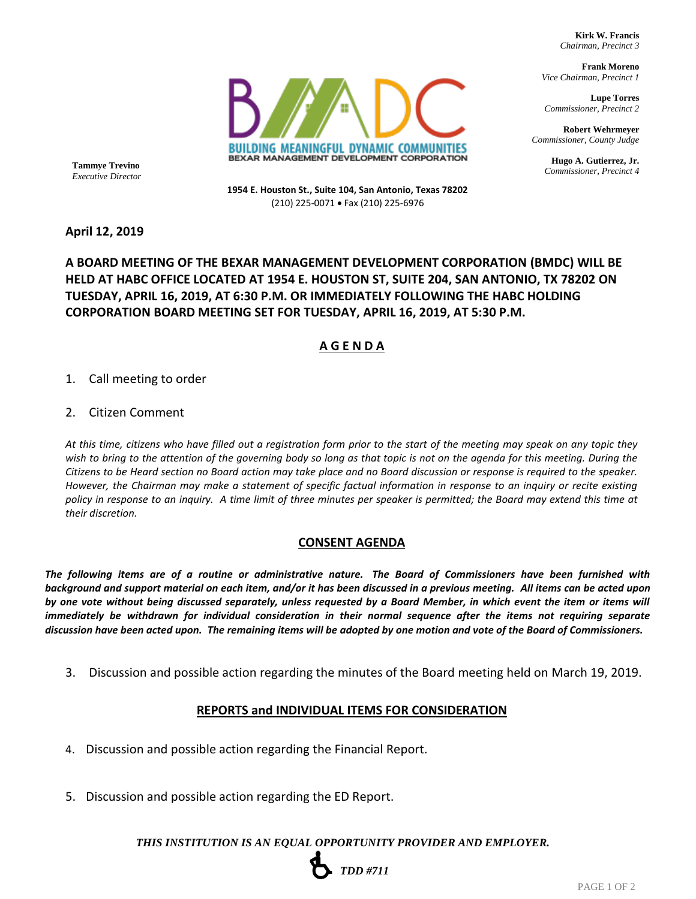**Kirk W. Francis**  *Chairman, Precinct 3*

**Frank Moreno** *Vice Chairman, Precinct 1*

**Lupe Torres**  *Commissioner, Precinct 2*

**Robert Wehrmeyer** *Commissioner, County Judge*

**Hugo A. Gutierrez, Jr.** *Commissioner, Precinct 4* **Tammye Trevino**

*Executive Director*

**1954 E. Houston St., Suite 104, San Antonio, Texas 78202** (210) 225-0071 • Fax (210) 225-6976

BUILDING MEANINGFUL DYNAMIC COMMUNITIES BEXAR MANAGEMENT DEVELOPMENT CORPORATION

#### **April 12, 2019**

## **A BOARD MEETING OF THE BEXAR MANAGEMENT DEVELOPMENT CORPORATION (BMDC) WILL BE HELD AT HABC OFFICE LOCATED AT 1954 E. HOUSTON ST, SUITE 204, SAN ANTONIO, TX 78202 ON TUESDAY, APRIL 16, 2019, AT 6:30 P.M. OR IMMEDIATELY FOLLOWING THE HABC HOLDING CORPORATION BOARD MEETING SET FOR TUESDAY, APRIL 16, 2019, AT 5:30 P.M.**

# **A G E N D A**

1. Call meeting to order

2. Citizen Comment

*At this time, citizens who have filled out a registration form prior to the start of the meeting may speak on any topic they wish to bring to the attention of the governing body so long as that topic is not on the agenda for this meeting. During the Citizens to be Heard section no Board action may take place and no Board discussion or response is required to the speaker. However, the Chairman may make a statement of specific factual information in response to an inquiry or recite existing policy in response to an inquiry. A time limit of three minutes per speaker is permitted; the Board may extend this time at their discretion.*

### **CONSENT AGENDA**

*The following items are of a routine or administrative nature. The Board of Commissioners have been furnished with background and support material on each item, and/or it has been discussed in a previous meeting. All items can be acted upon by one vote without being discussed separately, unless requested by a Board Member, in which event the item or items will immediately be withdrawn for individual consideration in their normal sequence after the items not requiring separate discussion have been acted upon. The remaining items will be adopted by one motion and vote of the Board of Commissioners.*

3. Discussion and possible action regarding the minutes of the Board meeting held on March 19, 2019.

### **REPORTS and INDIVIDUAL ITEMS FOR CONSIDERATION**

- 4. Discussion and possible action regarding the Financial Report.
- 5. Discussion and possible action regarding the ED Report.

*THIS INSTITUTION IS AN EQUAL OPPORTUNITY PROVIDER AND EMPLOYER.*

# *TDD #711*